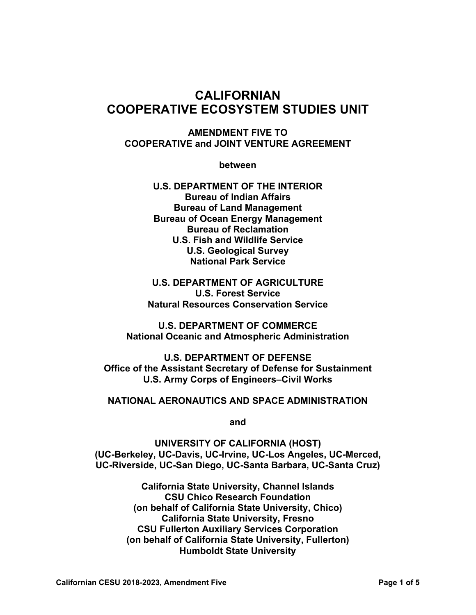# **CALIFORNIAN COOPERATIVE ECOSYSTEM STUDIES UNIT**

## **AMENDMENT FIVE TO COOPERATIVE and JOINT VENTURE AGREEMENT**

**between** 

**U.S. DEPARTMENT OF THE INTERIOR Bureau of Indian Affairs Bureau of Land Management Bureau of Ocean Energy Management Bureau of Reclamation U.S. Fish and Wildlife Service U.S. Geological Survey National Park Service** 

**U.S. DEPARTMENT OF AGRICULTURE U.S. Forest Service Natural Resources Conservation Service** 

**U.S. DEPARTMENT OF COMMERCE National Oceanic and Atmospheric Administration** 

**U.S. DEPARTMENT OF DEFENSE Office of the Assistant Secretary of Defense for Sustainment U.S. Army Corps of Engineers–Civil Works** 

## **NATIONAL AERONAUTICS AND SPACE ADMINISTRATION**

**and** 

**UNIVERSITY OF CALIFORNIA (HOST) (UC-Berkeley, UC-Davis, UC-Irvine, UC-Los Angeles, UC-Merced, UC-Riverside, UC-San Diego, UC-Santa Barbara, UC-Santa Cruz)** 

> **California State University, Channel Islands CSU Chico Research Foundation (on behalf of California State University, Chico) California State University, Fresno CSU Fullerton Auxiliary Services Corporation (on behalf of California State University, Fullerton) Humboldt State University**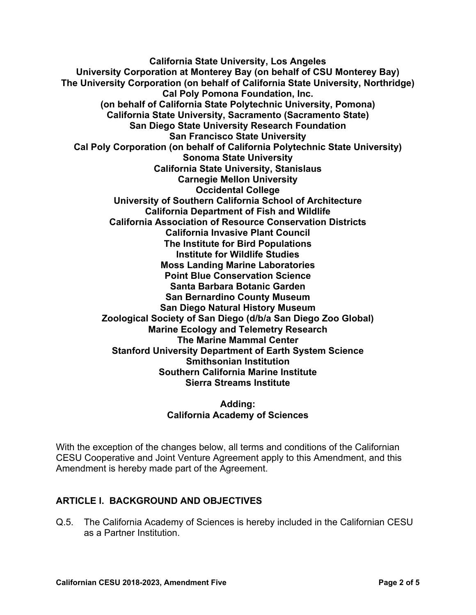**California State University, Los Angeles University Corporation at Monterey Bay (on behalf of CSU Monterey Bay) The University Corporation (on behalf of California State University, Northridge) Cal Poly Pomona Foundation, Inc. (on behalf of California State Polytechnic University, Pomona) California State University, Sacramento (Sacramento State) San Diego State University Research Foundation San Francisco State University Cal Poly Corporation (on behalf of California Polytechnic State University) Sonoma State University California State University, Stanislaus Carnegie Mellon University Occidental College University of Southern California School of Architecture California Department of Fish and Wildlife California Association of Resource Conservation Districts California Invasive Plant Council The Institute for Bird Populations Institute for Wildlife Studies Moss Landing Marine Laboratories Point Blue Conservation Science Santa Barbara Botanic Garden San Bernardino County Museum San Diego Natural History Museum Zoological Society of San Diego (d/b/a San Diego Zoo Global) Marine Ecology and Telemetry Research The Marine Mammal Center Stanford University Department of Earth System Science Smithsonian Institution Southern California Marine Institute Sierra Streams Institute** 

> **Adding: California Academy of Sciences**

With the exception of the changes below, all terms and conditions of the Californian CESU Cooperative and Joint Venture Agreement apply to this Amendment, and this Amendment is hereby made part of the Agreement.

## **ARTICLE I. BACKGROUND AND OBJECTIVES**

Q.5. The California Academy of Sciences is hereby included in the Californian CESU as a Partner Institution.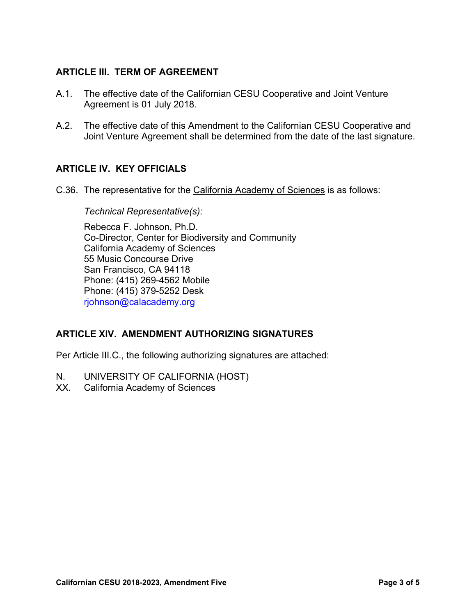## **ARTICLE III. TERM OF AGREEMENT**

- A.1. The effective date of the Californian CESU Cooperative and Joint Venture Agreement is 01 July 2018.
- A.2. The effective date of this Amendment to the Californian CESU Cooperative and Joint Venture Agreement shall be determined from the date of the last signature.

## **ARTICLE IV. KEY OFFICIALS**

C.36. The representative for the California Academy of Sciences is as follows:

#### *Technical Representative(s):*

Rebecca F. Johnson, Ph.D. Co-Director, Center for Biodiversity and Community California Academy of Sciences 55 Music Concourse Drive San Francisco, CA 94118 Phone: (415) 269-4562 Mobile Phone: (415) 379-5252 Desk rjohnson@calacademy.org

## **ARTICLE XIV. AMENDMENT AUTHORIZING SIGNATURES**

Per Article III.C., the following authorizing signatures are attached:

- N. UNIVERSITY OF CALIFORNIA (HOST)
- XX. California Academy of Sciences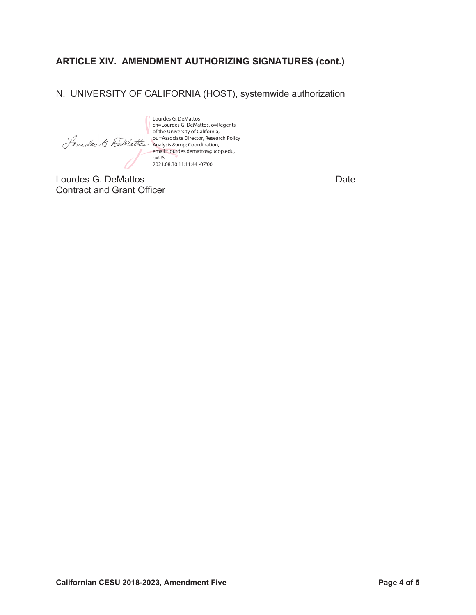## **ARTICLE XIV. AMENDMENT AUTHORIZING SIGNATURES (cont.)**

## N. UNIVERSITY OF CALIFORNIA (HOST), systemwide authorization

Lourdes G. DeMattos cn=Lourdes G. DeMattos, o=Regents of the University of California, ou=Associate Director, Research Policy Analysis & amp; Coordination, email=lourdes.demattos@ucop.edu, c=US 2021.08.30 11:11:44 -07'00'

Lourdes G. DeMattos **Date** Contract and Grant Officer

 $\overline{a}$